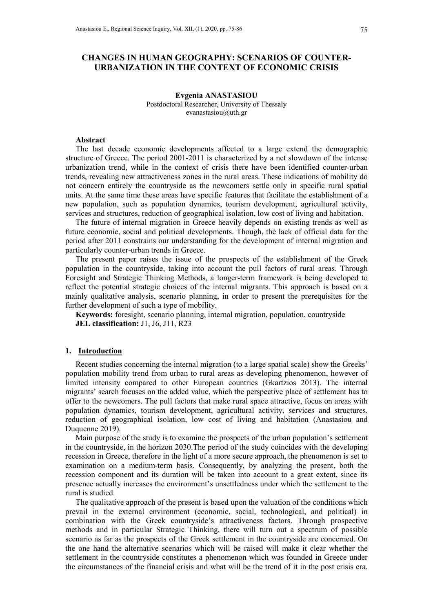# **CHANGES IN HUMAN GEOGRAPHY: SCENARIOS OF COUNTER-URBANIZATION IN THE CONTEXT OF ECONOMIC CRISIS**

#### **Evgenia ANASTASIOU**  Postdoctoral Researcher, University of Thessaly evanastasiou@uth.gr

### **Abstract**

The last decade economic developments affected to a large extend the demographic structure of Greece. The period 2001-2011 is characterized by a net slowdown of the intense urbanization trend, while in the context of crisis there have been identified counter-urban trends, revealing new attractiveness zones in the rural areas. These indications of mobility do not concern entirely the countryside as the newcomers settle only in specific rural spatial units. At the same time these areas have specific features that facilitate the establishment of a new population, such as population dynamics, tourism development, agricultural activity, services and structures, reduction of geographical isolation, low cost of living and habitation.

The future of internal migration in Greece heavily depends on existing trends as well as future economic, social and political developments. Though, the lack of official data for the period after 2011 constrains our understanding for the development of internal migration and particularly counter-urban trends in Greece.

The present paper raises the issue of the prospects of the establishment of the Greek population in the countryside, taking into account the pull factors of rural areas. Through Foresight and Strategic Thinking Methods, a longer-term framework is being developed to reflect the potential strategic choices of the internal migrants. This approach is based on a mainly qualitative analysis, scenario planning, in order to present the prerequisites for the further development of such a type of mobility.

**Keywords:** foresight, scenario planning, internal migration, population, countryside **JEL classification:** J1, J6, J11, R23

#### **1. Introduction**

Recent studies concerning the internal migration (to a large spatial scale) show the Greeks' population mobility trend from urban to rural areas as developing phenomenon, however of limited intensity compared to other European countries (Gkartzios 2013). The internal migrants' search focuses on the added value, which the perspective place of settlement has to offer to the newcomers. The pull factors that make rural space attractive, focus on areas with population dynamics, tourism development, agricultural activity, services and structures, reduction of geographical isolation, low cost of living and habitation (Anastasiou and Duquenne 2019).

Main purpose of the study is to examine the prospects of the urban population's settlement in the countryside, in the horizon 2030.The period of the study coincides with the developing recession in Greece, therefore in the light of a more secure approach, the phenomenon is set to examination on a medium-term basis. Consequently, by analyzing the present, both the recession component and its duration will be taken into account to a great extent, since its presence actually increases the environment's unsettledness under which the settlement to the rural is studied.

The qualitative approach of the present is based upon the valuation of the conditions which prevail in the external environment (economic, social, technological, and political) in combination with the Greek countryside's attractiveness factors. Through prospective methods and in particular Strategic Thinking, there will turn out a spectrum of possible scenario as far as the prospects of the Greek settlement in the countryside are concerned. On the one hand the alternative scenarios which will be raised will make it clear whether the settlement in the countryside constitutes a phenomenon which was founded in Greece under the circumstances of the financial crisis and what will be the trend of it in the post crisis era.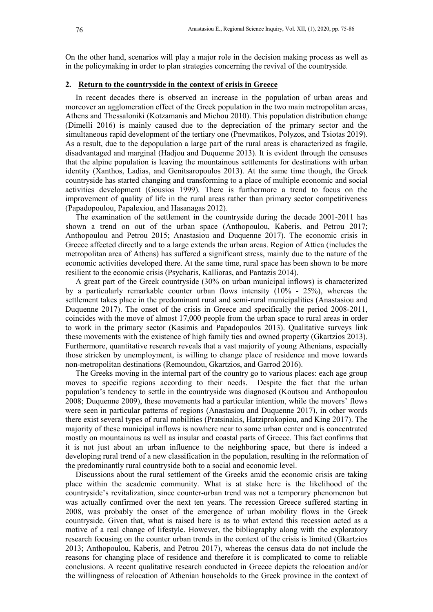On the other hand, scenarios will play a major role in the decision making process as well as in the policymaking in order to plan strategies concerning the revival of the countryside.

## **2. Return to the countryside in the context of crisis in Greece**

In recent decades there is observed an increase in the population of urban areas and moreover an agglomeration effect of the Greek population in the two main metropolitan areas, Athens and Thessaloniki (Kotzamanis and Michou 2010). This population distribution change (Dimelli 2016) is mainly caused due to the depreciation of the primary sector and the simultaneous rapid development of the tertiary one (Pnevmatikos, Polyzos, and Tsiotas 2019). As a result, due to the depopulation a large part of the rural areas is characterized as fragile, disadvantaged and marginal (Hadjou and Duquenne 2013). It is evident through the censuses that the alpine population is leaving the mountainous settlements for destinations with urban identity (Xanthos, Ladias, and Genitsaropoulos 2013). At the same time though, the Greek countryside has started changing and transforming to a place of multiple economic and social activities development (Gousios 1999). There is furthermore a trend to focus on the improvement of quality of life in the rural areas rather than primary sector competitiveness (Papadopoulou, Papalexiou, and Hasanagas 2012).

The examination of the settlement in the countryside during the decade 2001-2011 has shown a trend on out of the urban space (Anthopoulou, Kaberis, and Petrou 2017; Anthopoulou and Petrou 2015; Anastasiou and Duquenne 2017). The economic crisis in Greece affected directly and to a large extends the urban areas. Region of Attica (includes the metropolitan area of Athens) has suffered a significant stress, mainly due to the nature of the economic activities developed there. At the same time, rural space has been shown to be more resilient to the economic crisis (Psycharis, Kallioras, and Pantazis 2014).

A great part of the Greek countryside (30% on urban municipal inflows) is characterized by a particularly remarkable counter urban flows intensity  $(10\% - 25\%)$ , whereas the settlement takes place in the predominant rural and semi-rural municipalities (Anastasiou and Duquenne 2017). The onset of the crisis in Greece and specifically the period 2008-2011, coincides with the move of almost 17,000 people from the urban space to rural areas in order to work in the primary sector (Kasimis and Papadopoulos 2013). Qualitative surveys link these movements with the existence of high family ties and owned property (Gkartzios 2013). Furthermore, quantitative research reveals that a vast majority of young Athenians, especially those stricken by unemployment, is willing to change place of residence and move towards non-metropolitan destinations (Remoundou, Gkartzios, and Garrod 2016).

The Greeks moving in the internal part of the country go to various places: each age group moves to specific regions according to their needs. Despite the fact that the urban population's tendency to settle in the countryside was diagnosed (Koutsou and Anthopoulou 2008; Duquenne 2009), these movements had a particular intention, while the movers' flows were seen in particular patterns of regions (Anastasiou and Duquenne 2017), in other words there exist several types of rural mobilities (Pratsinakis, Hatziprokopiou, and King 2017). The majority of these municipal inflows is nowhere near to some urban center and is concentrated mostly on mountainous as well as insular and coastal parts of Greece. This fact confirms that it is not just about an urban influence to the neighboring space, but there is indeed a developing rural trend of a new classification in the population, resulting in the reformation of the predominantly rural countryside both to a social and economic level.

Discussions about the rural settlement of the Greeks amid the economic crisis are taking place within the academic community. What is at stake here is the likelihood of the countryside's revitalization, since counter-urban trend was not a temporary phenomenon but was actually confirmed over the next ten years. The recession Greece suffered starting in 2008, was probably the onset of the emergence of urban mobility flows in the Greek countryside. Given that, what is raised here is as to what extend this recession acted as a motive of a real change of lifestyle. However, the bibliography along with the exploratory research focusing on the counter urban trends in the context of the crisis is limited (Gkartzios 2013; Anthopoulou, Kaberis, and Petrou 2017), whereas the census data do not include the reasons for changing place of residence and therefore it is complicated to come to reliable conclusions. A recent qualitative research conducted in Greece depicts the relocation and/or the willingness of relocation of Athenian households to the Greek province in the context of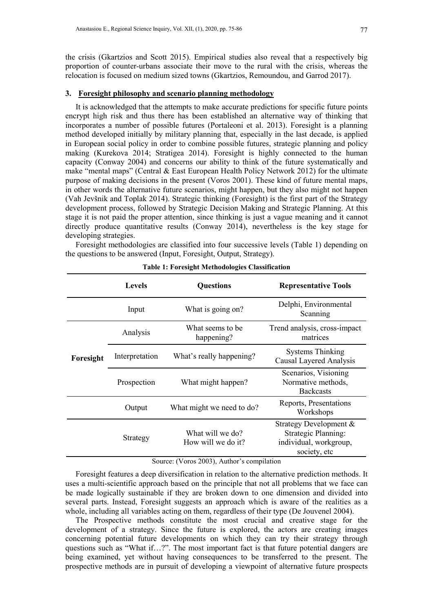the crisis (Gkartzios and Scott 2015). Empirical studies also reveal that a respectively big proportion of counter-urbans associate their move to the rural with the crisis, whereas the relocation is focused on medium sized towns (Gkartzios, Remoundou, and Garrod 2017).

### **3. Foresight philosophy and scenario planning methodology**

It is acknowledged that the attempts to make accurate predictions for specific future points encrypt high risk and thus there has been established an alternative way of thinking that incorporates a number of possible futures (Portaleoni et al. 2013). Foresight is a planning method developed initially by military planning that, especially in the last decade, is applied in European social policy in order to combine possible futures, strategic planning and policy making (Kurekova 2014; Stratigea 2014). Foresight is highly connected to the human capacity (Conway 2004) and concerns our ability to think of the future systematically and make "mental maps" (Central & East European Health Policy Network 2012) for the ultimate purpose of making decisions in the present (Voros 2001). These kind of future mental maps, in other words the alternative future scenarios, might happen, but they also might not happen (Vah Jevšnik and Toplak 2014). Strategic thinking (Foresight) is the first part of the Strategy development process, followed by Strategic Decision Making and Strategic Planning. At this stage it is not paid the proper attention, since thinking is just a vague meaning and it cannot directly produce quantitative results (Conway 2014), nevertheless is the key stage for developing strategies.

Foresight methodologies are classified into four successive levels (Table 1) depending on the questions to be answered (Input, Foresight, Output, Strategy).

|           | <b>Levels</b>  | <b>Questions</b>                       | <b>Representative Tools</b>                                                                    |
|-----------|----------------|----------------------------------------|------------------------------------------------------------------------------------------------|
|           | Input          | What is going on?                      | Delphi, Environmental<br>Scanning                                                              |
| Foresight | Analysis       | What seems to be<br>happening?         | Trend analysis, cross-impact<br>matrices                                                       |
|           | Interpretation | What's really happening?               | <b>Systems Thinking</b><br>Causal Layered Analysis                                             |
|           | Prospection    | What might happen?                     | Scenarios, Visioning<br>Normative methods,<br><b>Backcasts</b>                                 |
|           | Output         | What might we need to do?              | Reports, Presentations<br>Workshops                                                            |
|           | Strategy       | What will we do?<br>How will we do it? | Strategy Development &<br><b>Strategic Planning:</b><br>individual, workgroup,<br>society, etc |

### **Table 1: Foresight Methodologies Classification**

Source: (Voros 2003), Author's compilation

Foresight features a deep diversification in relation to the alternative prediction methods. It uses a multi-scientific approach based on the principle that not all problems that we face can be made logically sustainable if they are broken down to one dimension and divided into several parts. Instead, Foresight suggests an approach which is aware of the realities as a whole, including all variables acting on them, regardless of their type (De Jouvenel 2004).

The Prospective methods constitute the most crucial and creative stage for the development of a strategy. Since the future is explored, the actors are creating images concerning potential future developments on which they can try their strategy through questions such as "What if…?". The most important fact is that future potential dangers are being examined, yet without having consequences to be transferred to the present. The prospective methods are in pursuit of developing a viewpoint of alternative future prospects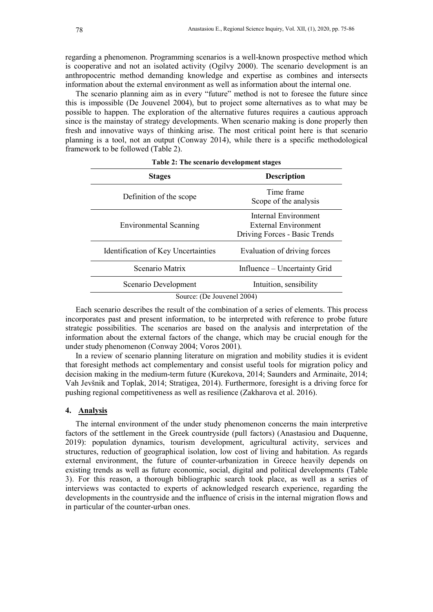regarding a phenomenon. Programming scenarios is a well-known prospective method which is cooperative and not an isolated activity (Ogilvy 2000). The scenario development is an anthropocentric method demanding knowledge and expertise as combines and intersects information about the external environment as well as information about the internal one.

The scenario planning aim as in every "future" method is not to foresee the future since this is impossible (De Jouvenel 2004), but to project some alternatives as to what may be possible to happen. The exploration of the alternative futures requires a cautious approach since is the mainstay of strategy developments. When scenario making is done properly then fresh and innovative ways of thinking arise. The most critical point here is that scenario planning is a tool, not an output (Conway 2014), while there is a specific methodological framework to be followed (Table 2).

| <b>Stages</b>                       | <b>Description</b>                                                                   |  |
|-------------------------------------|--------------------------------------------------------------------------------------|--|
| Definition of the scope             | Time frame<br>Scope of the analysis                                                  |  |
| <b>Environmental Scanning</b>       | Internal Environment<br><b>External Environment</b><br>Driving Forces - Basic Trends |  |
| Identification of Key Uncertainties | Evaluation of driving forces                                                         |  |
| Scenario Matrix                     | Influence – Uncertainty Grid                                                         |  |
| Scenario Development                | Intuition, sensibility                                                               |  |

|  |  | Table 2: The scenario development stages |  |
|--|--|------------------------------------------|--|
|--|--|------------------------------------------|--|

Each scenario describes the result of the combination of a series of elements. This process incorporates past and present information, to be interpreted with reference to probe future strategic possibilities. The scenarios are based on the analysis and interpretation of the information about the external factors of the change, which may be crucial enough for the under study phenomenon (Conway 2004; Voros 2001).

In a review of scenario planning literature on migration and mobility studies it is evident that foresight methods act complementary and consist useful tools for migration policy and decision making in the medium-term future (Kurekova, 2014; Saunders and Arminaite, 2014; Vah Jevšnik and Toplak, 2014; Stratigea, 2014). Furthermore, foresight is a driving force for pushing regional competitiveness as well as resilience (Zakharova et al. 2016).

### **4. Analysis**

The internal environment of the under study phenomenon concerns the main interpretive factors of the settlement in the Greek countryside (pull factors) (Anastasiou and Duquenne, 2019): population dynamics, tourism development, agricultural activity, services and structures, reduction of geographical isolation, low cost of living and habitation. As regards external environment, the future of counter-urbanization in Greece heavily depends on existing trends as well as future economic, social, digital and political developments (Table 3). For this reason, a thorough bibliographic search took place, as well as a series of interviews was contacted to experts of acknowledged research experience, regarding the developments in the countryside and the influence of crisis in the internal migration flows and in particular of the counter-urban ones.

Source: (De Jouvenel 2004)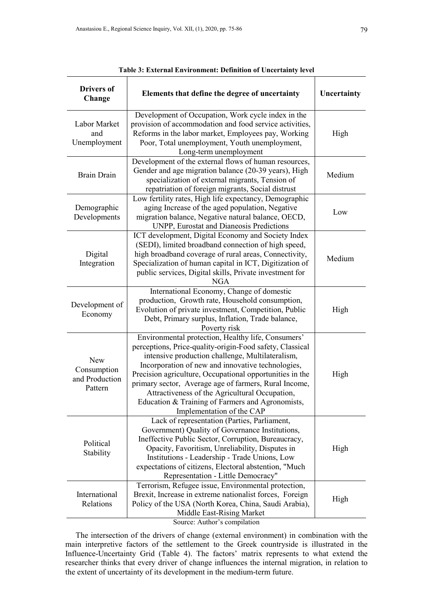| <b>Drivers of</b><br>Change                     | Elements that define the degree of uncertainty                                                                                                                                                                                                                                                                                                                                                                                                                                  | Uncertainty |
|-------------------------------------------------|---------------------------------------------------------------------------------------------------------------------------------------------------------------------------------------------------------------------------------------------------------------------------------------------------------------------------------------------------------------------------------------------------------------------------------------------------------------------------------|-------------|
| Labor Market<br>and<br>Unemployment             | Development of Occupation, Work cycle index in the<br>provision of accommodation and food service activities,<br>Reforms in the labor market, Employees pay, Working<br>Poor, Total unemployment, Youth unemployment,<br>Long-term unemployment                                                                                                                                                                                                                                 | High        |
| <b>Brain Drain</b>                              | Development of the external flows of human resources,<br>Gender and age migration balance (20-39 years), High<br>specialization of external migrants, Tension of<br>repatriation of foreign migrants, Social distrust                                                                                                                                                                                                                                                           | Medium      |
| Demographic<br>Developments                     | Low fertility rates, High life expectancy, Demographic<br>aging Increase of the aged population, Negative<br>migration balance, Negative natural balance, OECD,<br>UNPP, Eurostat and Dianeosis Predictions                                                                                                                                                                                                                                                                     | Low         |
| Digital<br>Integration                          | ICT development, Digital Economy and Society Index<br>(SEDI), limited broadband connection of high speed,<br>high broadband coverage of rural areas, Connectivity,<br>Specialization of human capital in ICT, Digitization of<br>public services, Digital skills, Private investment for<br><b>NGA</b>                                                                                                                                                                          | Medium      |
| Development of<br>Economy                       | International Economy, Change of domestic<br>production, Growth rate, Household consumption,<br>Evolution of private investment, Competition, Public<br>Debt, Primary surplus, Inflation, Trade balance,<br>Poverty risk                                                                                                                                                                                                                                                        | High        |
| New<br>Consumption<br>and Production<br>Pattern | Environmental protection, Healthy life, Consumers'<br>perceptions, Price-quality-origin-Food safety, Classical<br>intensive production challenge, Multilateralism,<br>Incorporation of new and innovative technologies,<br>Precision agriculture, Occupational opportunities in the<br>primary sector, Average age of farmers, Rural Income,<br>Attractiveness of the Agricultural Occupation,<br>Education & Training of Farmers and Agronomists,<br>Implementation of the CAP | High        |
| Political<br>Stability                          | Lack of representation (Parties, Parliament,<br>Government) Quality of Governance Institutions,<br>Ineffective Public Sector, Corruption, Bureaucracy,<br>Opacity, Favoritism, Unreliability, Disputes in<br>Institutions - Leadership - Trade Unions, Low<br>expectations of citizens, Electoral abstention, "Much<br>Representation - Little Democracy"                                                                                                                       | High        |
| International<br>Relations                      | Terrorism, Refugee issue, Environmental protection,<br>Brexit, Increase in extreme nationalist forces, Foreign<br>Policy of the USA (North Korea, China, Saudi Arabia),<br>Middle East-Rising Market<br>Source: Author's compilation                                                                                                                                                                                                                                            | High        |

**Table 3: External Environment: Definition of Uncertainty level** 

The intersection of the drivers of change (external environment) in combination with the main interpretive factors of the settlement to the Greek countryside is illustrated in the Influence-Uncertainty Grid (Table 4). The factors' matrix represents to what extend the researcher thinks that every driver of change influences the internal migration, in relation to the extent of uncertainty of its development in the medium-term future.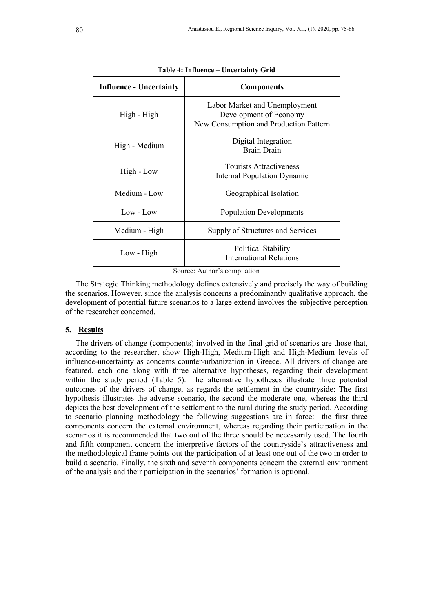| <b>Influence - Uncertainty</b> | <b>Components</b>                                                                                 |  |
|--------------------------------|---------------------------------------------------------------------------------------------------|--|
| High - High                    | Labor Market and Unemployment<br>Development of Economy<br>New Consumption and Production Pattern |  |
| High - Medium                  | Digital Integration<br><b>Brain Drain</b>                                                         |  |
| High - Low                     | Tourists Attractiveness<br>Internal Population Dynamic                                            |  |
| Medium - Low                   | Geographical Isolation                                                                            |  |
| Low - Low                      | <b>Population Developments</b>                                                                    |  |
| Medium - High                  | Supply of Structures and Services                                                                 |  |
| Low - High                     | <b>Political Stability</b><br><b>International Relations</b>                                      |  |

**Table 4: Influence – Uncertainty Grid** 

Source: Author's compilation

The Strategic Thinking methodology defines extensively and precisely the way of building the scenarios. However, since the analysis concerns a predominantly qualitative approach, the development of potential future scenarios to a large extend involves the subjective perception of the researcher concerned.

## **5. Results**

The drivers of change (components) involved in the final grid of scenarios are those that, according to the researcher, show High-High, Medium-High and High-Medium levels of influence-uncertainty as concerns counter-urbanization in Greece. All drivers of change are featured, each one along with three alternative hypotheses, regarding their development within the study period (Table 5). The alternative hypotheses illustrate three potential outcomes of the drivers of change, as regards the settlement in the countryside: The first hypothesis illustrates the adverse scenario, the second the moderate one, whereas the third depicts the best development of the settlement to the rural during the study period. According to scenario planning methodology the following suggestions are in force: the first three components concern the external environment, whereas regarding their participation in the scenarios it is recommended that two out of the three should be necessarily used. The fourth and fifth component concern the interpretive factors of the countryside's attractiveness and the methodological frame points out the participation of at least one out of the two in order to build a scenario. Finally, the sixth and seventh components concern the external environment of the analysis and their participation in the scenarios' formation is optional.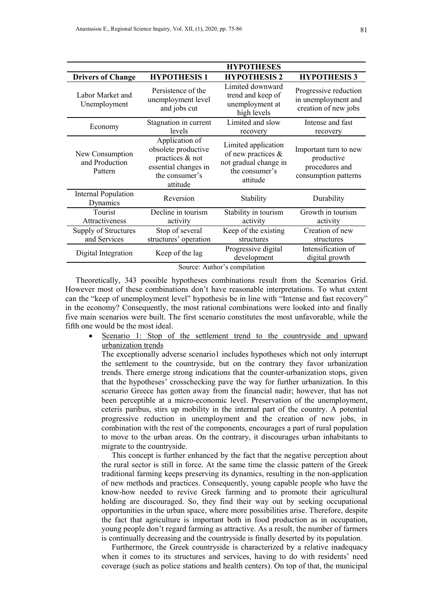|                                              |                                                                                                                | <b>HYPOTHESES</b>                                                                                   |                                                                               |  |
|----------------------------------------------|----------------------------------------------------------------------------------------------------------------|-----------------------------------------------------------------------------------------------------|-------------------------------------------------------------------------------|--|
| <b>Drivers of Change</b>                     | <b>HYPOTHESIS1</b>                                                                                             | <b>HYPOTHESIS 2</b>                                                                                 | <b>HYPOTHESIS 3</b>                                                           |  |
| Labor Market and<br>Unemployment             | Persistence of the<br>unemployment level<br>and jobs cut                                                       | Limited downward<br>trend and keep of<br>unemployment at<br>high levels                             | Progressive reduction<br>in unemployment and<br>creation of new jobs          |  |
| Economy                                      | Stagnation in current<br>levels                                                                                | Limited and slow<br>recovery                                                                        | Intense and fast<br>recovery                                                  |  |
| New Consumption<br>and Production<br>Pattern | Application of<br>obsolete productive<br>practices & not<br>essential changes in<br>the consumer's<br>attitude | Limited application<br>of new practices $\&$<br>not gradual change in<br>the consumer's<br>attitude | Important turn to new<br>productive<br>procedures and<br>consumption patterns |  |
| <b>Internal Population</b><br>Dynamics       | Reversion                                                                                                      | Stability                                                                                           | Durability                                                                    |  |
| Tourist<br>Attractiveness                    | Decline in tourism<br>activity                                                                                 | Stability in tourism<br>activity                                                                    | Growth in tourism<br>activity                                                 |  |
| Supply of Structures<br>and Services         | Stop of several<br>structures' operation                                                                       | Keep of the existing<br>structures                                                                  | Creation of new<br>structures                                                 |  |
| Digital Integration                          | Keep of the lag                                                                                                | Progressive digital<br>development                                                                  | Intensification of<br>digital growth                                          |  |
| Source: Author's compilation                 |                                                                                                                |                                                                                                     |                                                                               |  |

Theoretically, 343 possible hypotheses combinations result from the Scenarios Grid. However most of these combinations don't have reasonable interpretations. To what extent can the "keep of unemployment level" hypothesis be in line with "Intense and fast recovery" in the economy? Consequently, the most rational combinations were looked into and finally five main scenarios were built. The first scenario constitutes the most unfavorable, while the

fifth one would be the most ideal.

Scenario 1: Stop of the settlement trend to the countryside and upward urbanization trends

The exceptionally adverse scenario1 includes hypotheses which not only interrupt the settlement to the countryside, but on the contrary they favor urbanization trends. There emerge strong indications that the counter-urbanization stops, given that the hypotheses' crosschecking pave the way for further urbanization. In this scenario Greece has gotten away from the financial nadir; however, that has not been perceptible at a micro-economic level. Preservation of the unemployment, ceteris paribus, stirs up mobility in the internal part of the country. A potential progressive reduction in unemployment and the creation of new jobs, in combination with the rest of the components, encourages a part of rural population to move to the urban areas. On the contrary, it discourages urban inhabitants to migrate to the countryside.

This concept is further enhanced by the fact that the negative perception about the rural sector is still in force. At the same time the classic pattern of the Greek traditional farming keeps preserving its dynamics, resulting in the non-application of new methods and practices. Consequently, young capable people who have the know-how needed to revive Greek farming and to promote their agricultural holding are discouraged. So, they find their way out by seeking occupational opportunities in the urban space, where more possibilities arise. Therefore, despite the fact that agriculture is important both in food production as in occupation, young people don't regard farming as attractive. As a result, the number of farmers is continually decreasing and the countryside is finally deserted by its population.

Furthermore, the Greek countryside is characterized by a relative inadequacy when it comes to its structures and services, having to do with residents' need coverage (such as police stations and health centers). On top of that, the municipal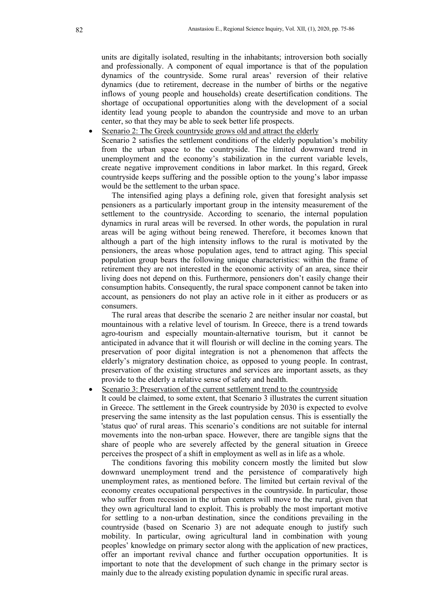units are digitally isolated, resulting in the inhabitants; introversion both socially and professionally. A component of equal importance is that of the population dynamics of the countryside. Some rural areas' reversion of their relative dynamics (due to retirement, decrease in the number of births or the negative inflows of young people and households) create desertification conditions. The shortage of occupational opportunities along with the development of a social identity lead young people to abandon the countryside and move to an urban center, so that they may be able to seek better life prospects.

Scenario 2: The Greek countryside grows old and attract the elderly

Scenario 2 satisfies the settlement conditions of the elderly population's mobility from the urban space to the countryside. The limited downward trend in unemployment and the economy's stabilization in the current variable levels, create negative improvement conditions in labor market. In this regard, Greek countryside keeps suffering and the possible option to the young's labor impasse would be the settlement to the urban space.

The intensified aging plays a defining role, given that foresight analysis set pensioners as a particularly important group in the intensity measurement of the settlement to the countryside. According to scenario, the internal population dynamics in rural areas will be reversed. In other words, the population in rural areas will be aging without being renewed. Therefore, it becomes known that although a part of the high intensity inflows to the rural is motivated by the pensioners, the areas whose population ages, tend to attract aging. This special population group bears the following unique characteristics: within the frame of retirement they are not interested in the economic activity of an area, since their living does not depend on this. Furthermore, pensioners don't easily change their consumption habits. Consequently, the rural space component cannot be taken into account, as pensioners do not play an active role in it either as producers or as consumers.

The rural areas that describe the scenario 2 are neither insular nor coastal, but mountainous with a relative level of tourism. In Greece, there is a trend towards agro-tourism and especially mountain-alternative tourism, but it cannot be anticipated in advance that it will flourish or will decline in the coming years. The preservation of poor digital integration is not a phenomenon that affects the elderly's migratory destination choice, as opposed to young people. In contrast, preservation of the existing structures and services are important assets, as they provide to the elderly a relative sense of safety and health.

#### Scenario 3: Preservation of the current settlement trend to the countryside

It could be claimed, to some extent, that Scenario 3 illustrates the current situation in Greece. The settlement in the Greek countryside by 2030 is expected to evolve preserving the same intensity as the last population census. This is essentially the 'status quo' of rural areas. This scenario's conditions are not suitable for internal movements into the non-urban space. However, there are tangible signs that the share of people who are severely affected by the general situation in Greece perceives the prospect of a shift in employment as well as in life as a whole.

The conditions favoring this mobility concern mostly the limited but slow downward unemployment trend and the persistence of comparatively high unemployment rates, as mentioned before. The limited but certain revival of the economy creates occupational perspectives in the countryside. In particular, those who suffer from recession in the urban centers will move to the rural, given that they own agricultural land to exploit. This is probably the most important motive for settling to a non-urban destination, since the conditions prevailing in the countryside (based on Scenario 3) are not adequate enough to justify such mobility. In particular, owing agricultural land in combination with young peoples' knowledge on primary sector along with the application of new practices, offer an important revival chance and further occupation opportunities. It is important to note that the development of such change in the primary sector is mainly due to the already existing population dynamic in specific rural areas.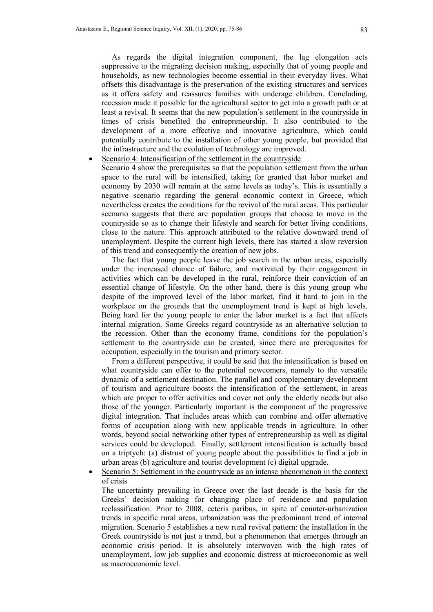As regards the digital integration component, the lag elongation acts suppressive to the migrating decision making, especially that of young people and households, as new technologies become essential in their everyday lives. What offsets this disadvantage is the preservation of the existing structures and services as it offers safety and reassures families with underage children. Concluding, recession made it possible for the agricultural sector to get into a growth path or at least a revival. It seems that the new population's settlement in the countryside in times of crisis benefited the entrepreneurship. It also contributed to the development of a more effective and innovative agriculture, which could potentially contribute to the installation of other young people, but provided that the infrastructure and the evolution of technology are improved.

#### • Scenario 4: Intensification of the settlement in the countryside

Scenario 4 show the prerequisites so that the population settlement from the urban space to the rural will be intensified, taking for granted that labor market and economy by 2030 will remain at the same levels as today's. This is essentially a negative scenario regarding the general economic context in Greece, which nevertheless creates the conditions for the revival of the rural areas. This particular scenario suggests that there are population groups that choose to move in the countryside so as to change their lifestyle and search for better living conditions, close to the nature. This approach attributed to the relative downward trend of unemployment. Despite the current high levels, there has started a slow reversion of this trend and consequently the creation of new jobs.

The fact that young people leave the job search in the urban areas, especially under the increased chance of failure, and motivated by their engagement in activities which can be developed in the rural, reinforce their conviction of an essential change of lifestyle. On the other hand, there is this young group who despite of the improved level of the labor market, find it hard to join in the workplace on the grounds that the unemployment trend is kept at high levels. Being hard for the young people to enter the labor market is a fact that affects internal migration. Some Greeks regard countryside as an alternative solution to the recession. Other than the economy frame, conditions for the population's settlement to the countryside can be created, since there are prerequisites for occupation, especially in the tourism and primary sector.

From a different perspective, it could be said that the intensification is based on what countryside can offer to the potential newcomers, namely to the versatile dynamic of a settlement destination. The parallel and complementary development of tourism and agriculture boosts the intensification of the settlement, in areas which are proper to offer activities and cover not only the elderly needs but also those of the younger. Particularly important is the component of the progressive digital integration. That includes areas which can combine and offer alternative forms of occupation along with new applicable trends in agriculture. In other words, beyond social networking other types of entrepreneurship as well as digital services could be developed. Finally, settlement intensification is actually based on a triptych: (a) distrust of young people about the possibilities to find a job in urban areas (b) agriculture and tourist development (c) digital upgrade.

• Scenario 5: Settlement in the countryside as an intense phenomenon in the context of crisis

The uncertainty prevailing in Greece over the last decade is the basis for the Greeks' decision making for changing place of residence and population reclassification. Prior to 2008, ceteris paribus, in spite of counter-urbanization trends in specific rural areas, urbanization was the predominant trend of internal migration. Scenario 5 establishes a new rural revival pattern: the installation in the Greek countryside is not just a trend, but a phenomenon that emerges through an economic crisis period. It is absolutely interwoven with the high rates of unemployment, low job supplies and economic distress at microeconomic as well as macroeconomic level.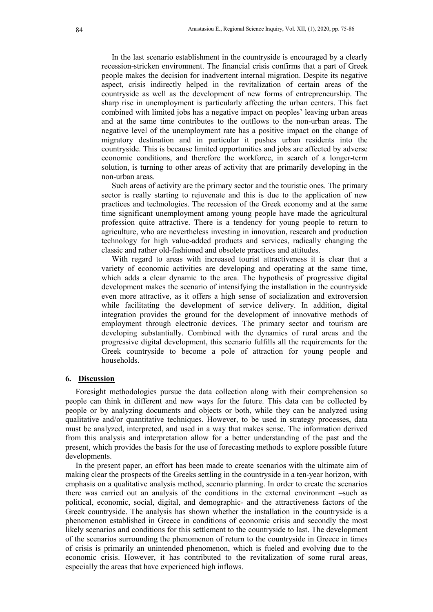In the last scenario establishment in the countryside is encouraged by a clearly recession-stricken environment. The financial crisis confirms that a part of Greek people makes the decision for inadvertent internal migration. Despite its negative aspect, crisis indirectly helped in the revitalization of certain areas of the countryside as well as the development of new forms of entrepreneurship. The sharp rise in unemployment is particularly affecting the urban centers. This fact combined with limited jobs has a negative impact on peoples' leaving urban areas and at the same time contributes to the outflows to the non-urban areas. The negative level of the unemployment rate has a positive impact on the change of migratory destination and in particular it pushes urban residents into the countryside. This is because limited opportunities and jobs are affected by adverse economic conditions, and therefore the workforce, in search of a longer-term solution, is turning to other areas of activity that are primarily developing in the non-urban areas.

Such areas of activity are the primary sector and the touristic ones. The primary sector is really starting to rejuvenate and this is due to the application of new practices and technologies. The recession of the Greek economy and at the same time significant unemployment among young people have made the agricultural profession quite attractive. There is a tendency for young people to return to agriculture, who are nevertheless investing in innovation, research and production technology for high value-added products and services, radically changing the classic and rather old-fashioned and obsolete practices and attitudes.

With regard to areas with increased tourist attractiveness it is clear that a variety of economic activities are developing and operating at the same time, which adds a clear dynamic to the area. The hypothesis of progressive digital development makes the scenario of intensifying the installation in the countryside even more attractive, as it offers a high sense of socialization and extroversion while facilitating the development of service delivery. In addition, digital integration provides the ground for the development of innovative methods of employment through electronic devices. The primary sector and tourism are developing substantially. Combined with the dynamics of rural areas and the progressive digital development, this scenario fulfills all the requirements for the Greek countryside to become a pole of attraction for young people and households.

### **6. Discussion**

Foresight methodologies pursue the data collection along with their comprehension so people can think in different and new ways for the future. This data can be collected by people or by analyzing documents and objects or both, while they can be analyzed using qualitative and/or quantitative techniques. However, to be used in strategy processes, data must be analyzed, interpreted, and used in a way that makes sense. The information derived from this analysis and interpretation allow for a better understanding of the past and the present, which provides the basis for the use of forecasting methods to explore possible future developments.

In the present paper, an effort has been made to create scenarios with the ultimate aim of making clear the prospects of the Greeks settling in the countryside in a ten-year horizon, with emphasis on a qualitative analysis method, scenario planning. In order to create the scenarios there was carried out an analysis of the conditions in the external environment –such as political, economic, social, digital, and demographic- and the attractiveness factors of the Greek countryside. The analysis has shown whether the installation in the countryside is a phenomenon established in Greece in conditions of economic crisis and secondly the most likely scenarios and conditions for this settlement to the countryside to last. The development of the scenarios surrounding the phenomenon of return to the countryside in Greece in times of crisis is primarily an unintended phenomenon, which is fueled and evolving due to the economic crisis. However, it has contributed to the revitalization of some rural areas, especially the areas that have experienced high inflows.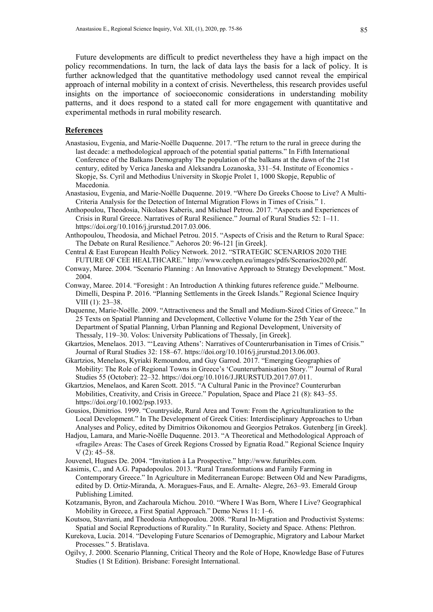Future developments are difficult to predict nevertheless they have a high impact on the policy recommendations. In turn, the lack of data lays the basis for a lack of policy. It is further acknowledged that the quantitative methodology used cannot reveal the empirical approach of internal mobility in a context of crisis. Nevertheless, this research provides useful insights on the importance of socioeconomic considerations in understanding mobility patterns, and it does respond to a stated call for more engagement with quantitative and experimental methods in rural mobility research.

### **References**

- Anastasiou, Evgenia, and Marie-Noëlle Duquenne. 2017. "Τhe return to the rural in greece during the last decade: a methodological approach of the potential spatial patterns." In Fifth International Conference of the Balkans Demography Τhe population of the balkans at the dawn of the 21st century, edited by Verica Janeska and Aleksandra Lozanoska, 331–54. Institute of Economics - Skopje, Ss. Cyril and Methodius University in Skopje Prolet 1, 1000 Skopje, Republic of Macedonia.
- Anastasiou, Evgenia, and Marie-Noëlle Duquenne. 2019. "Where Do Greeks Choose to Live? A Multi-Criteria Analysis for the Detection of Internal Migration Flows in Times of Crisis." 1.
- Anthopoulou, Theodosia, Nikolaos Kaberis, and Michael Petrou. 2017. "Aspects and Experiences of Crisis in Rural Greece. Narratives of Rural Resilience." Journal of Rural Studies 52: 1–11. https://doi.org/10.1016/j.jrurstud.2017.03.006.
- Anthopoulou, Theodosia, and Michael Petrou. 2015. "Aspects of Crisis and the Return to Rural Space: The Debate on Rural Resilience." Aehoros 20: 96-121 [in Greek].
- Central & East European Health Policy Network. 2012. "STRATEGIC SCENARIOS 2020 THE FUTURE OF CEE HEALTHCARE." http://www.ceehpn.eu/images/pdfs/Scenarios2020.pdf.
- Conway, Maree. 2004. "Scenario Planning : An Innovative Approach to Strategy Development." Most. 2004.
- Conway, Maree. 2014. "Foresight : An Introduction A thinking futures reference guide." Melbourne. Dimelli, Despina P. 2016. "Planning Settlements in the Greek Islands." Regional Science Inquiry VIII (1): 23–38.
- Duquenne, Marie-Noëlle. 2009. "Attractiveness and the Small and Medium-Sized Cities of Greece." In 25 Texts on Spatial Planning and Development, Collective Volume for the 25th Year of the Department of Spatial Planning, Urban Planning and Regional Development, University of Thessaly, 119–30. Volos: University Publications of Thessaly, [in Greek].

Gkartzios, Menelaos. 2013. "'Leaving Athens': Narratives of Counterurbanisation in Times of Crisis." Journal of Rural Studies 32: 158–67. https://doi.org/10.1016/j.jrurstud.2013.06.003.

- Gkartzios, Menelaos, Kyriaki Remoundou, and Guy Garrod. 2017. "Emerging Geographies of Mobility: The Role of Regional Towns in Greece's 'Counterurbanisation Story.'" Journal of Rural Studies 55 (October): 22–32. https://doi.org/10.1016/J.JRURSTUD.2017.07.011.
- Gkartzios, Menelaos, and Karen Scott. 2015. "A Cultural Panic in the Province? Counterurban Mobilities, Creativity, and Crisis in Greece." Population, Space and Place 21 (8): 843–55. https://doi.org/10.1002/psp.1933.
- Gousios, Dimitrios. 1999. "Countryside, Rural Area and Town: From the Agriculturalization to the Local Development." In The Development of Greek Cities: Interdisciplinary Approaches to Urban Analyses and Policy, edited by Dimitrios Oikonomou and Georgios Petrakos. Gutenberg [in Greek].
- Hadjou, Lamara, and Marie-Noëlle Duquenne. 2013. "A Theoretical and Methodological Approach of «fragile» Areas: The Cases of Greek Regions Crossed by Egnatia Road." Regional Science Inquiry V (2): 45–58.
- Jouvenel, Hugues De. 2004. "Invitation à La Prospective." http://www.futuribles.com.
- Kasimis, C., and A.G. Papadopoulos. 2013. "Rural Transformations and Family Farming in Contemporary Greece." In Agriculture in Mediterranean Europe: Between Old and New Paradigms, edited by D. Ortiz-Miranda, A. Moragues-Faus, and E. Arnalte- Alegre, 263–93. Emerald Group Publishing Limited.
- Kotzamanis, Byron, and Zacharoula Michou. 2010. "Where I Was Born, Where I Live? Geographical Mobility in Greece, a First Spatial Approach." Demo News 11: 1–6.
- Koutsou, Stavriani, and Theodosia Anthopoulou. 2008. "Rural In-Migration and Productivist Systems: Spatial and Social Reproductions of Rurality." In Rurality, Society and Space. Athens: Plethron.
- Kurekova, Lucia. 2014. "Developing Future Scenarios of Demographic, Migratory and Labour Market Processes." 5. Bratislava.
- Ogilvy, J. 2000. Scenario Planning, Critical Theory and the Role of Hope, Knowledge Base of Futures Studies (1 St Edition). Brisbane: Foresight International.